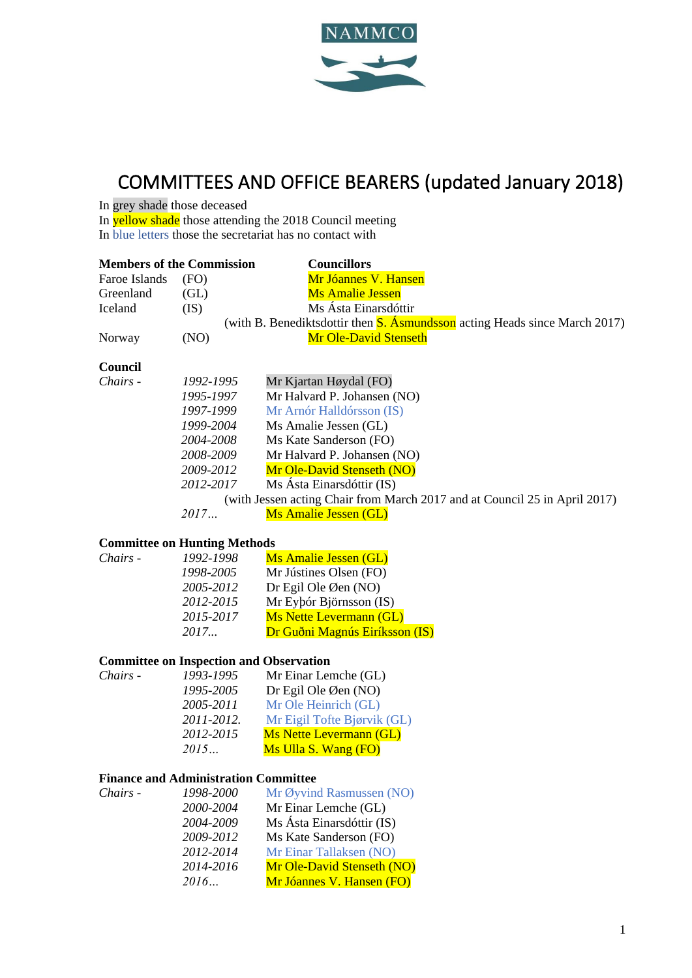

# COMMITTEES AND OFFICE BEARERS (updated January 2018)

In grey shade those deceased

In yellow shade those attending the 2018 Council meeting In blue letters those the secretariat has no contact with

|               | <b>Members of the Commission</b>    | <b>Councillors</b>                                                                |
|---------------|-------------------------------------|-----------------------------------------------------------------------------------|
| Faroe Islands | (FO)                                | Mr Jóannes V. Hansen                                                              |
| Greenland     | (GL)                                | <b>Ms Amalie Jessen</b>                                                           |
| Iceland       | (IS)                                | Ms Ásta Einarsdóttir                                                              |
|               |                                     | (with B. Benediktsdottir then <b>S. Asmundsson</b> acting Heads since March 2017) |
| Norway        | (NO)                                | <b>Mr Ole-David Stenseth</b>                                                      |
| Council       |                                     |                                                                                   |
| Chairs -      | 1992-1995                           | Mr Kjartan Høydal (FO)                                                            |
|               | 1995-1997                           | Mr Halvard P. Johansen (NO)                                                       |
|               | 1997-1999                           | Mr Arnór Halldórsson (IS)                                                         |
|               | 1999-2004                           | Ms Amalie Jessen (GL)                                                             |
|               | 2004-2008                           | Ms Kate Sanderson (FO)                                                            |
|               | 2008-2009                           | Mr Halvard P. Johansen (NO)                                                       |
|               | 2009-2012                           | Mr Ole-David Stenseth (NO)                                                        |
|               | 2012-2017                           | Ms Ásta Einarsdóttir (IS)                                                         |
|               |                                     | (with Jessen acting Chair from March 2017 and at Council 25 in April 2017)        |
|               | 2017                                | <b>Ms Amalie Jessen (GL)</b>                                                      |
|               | <b>Committee on Hunting Methods</b> |                                                                                   |
| Chairs -      | 1992-1998                           | <b>Ms Amalie Jessen (GL)</b>                                                      |
|               | 1998-2005                           | Mr Jústines Olsen (FO)                                                            |
|               | 2005-2012                           | Dr Egil Ole Øen $(NO)$                                                            |
|               | 2012-2015                           | Mr Eyþór Björnsson (IS)                                                           |
|               | 2015-2017                           | <b>Ms Nette Levermann (GL)</b>                                                    |

## *2017...* Dr Guðni Magnús Eiríksson (IS)

## **Committee on Inspection and Observation**

| Chairs - | 1993-1995  | Mr Einar Lemche (GL)           |
|----------|------------|--------------------------------|
|          | 1995-2005  | Dr Egil Ole Øen (NO)           |
|          | 2005-2011  | Mr Ole Heinrich (GL)           |
|          | 2011-2012. | Mr Eigil Tofte Bjørvik (GL)    |
|          | 2012-2015  | <b>Ms Nette Levermann (GL)</b> |
|          | 2015       | Ms Ulla S. Wang (FO)           |
|          |            |                                |

## **Finance and Administration Committee**

| Chairs - | 1998-2000 | Mr Øyvind Rasmussen (NO)          |
|----------|-----------|-----------------------------------|
|          | 2000-2004 | Mr Einar Lemche (GL)              |
|          | 2004-2009 | Ms Ásta Einarsdóttir (IS)         |
|          | 2009-2012 | Ms Kate Sanderson (FO)            |
|          | 2012-2014 | Mr Einar Tallaksen (NO)           |
|          | 2014-2016 | <b>Mr Ole-David Stenseth (NO)</b> |
|          | 2016      | Mr Jóannes V. Hansen (FO)         |